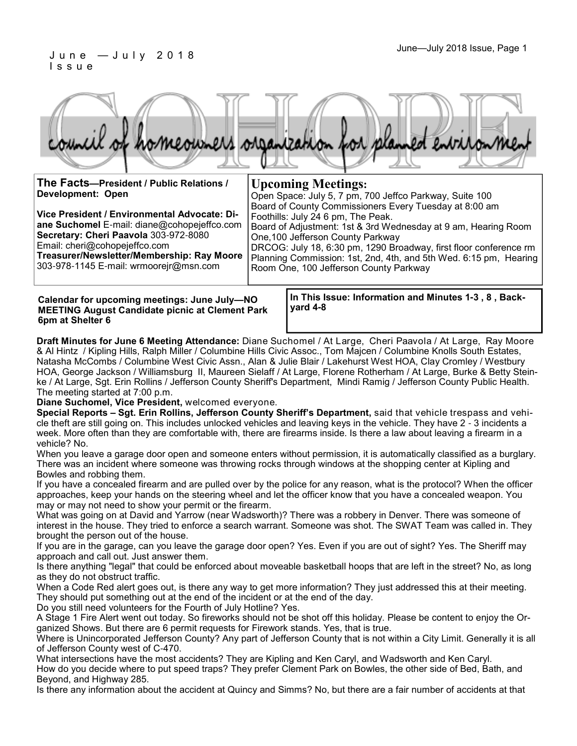#### June—July 2018 Issue, Page 1 J u n e — J u l y 2 0 1 8 I s s u e

|  |  |  | council of homeowners organization for planned environment |
|--|--|--|------------------------------------------------------------|
|  |  |  |                                                            |
|  |  |  |                                                            |

| The Facts-President / Public Relations /<br><b>Development: Open</b><br>Vice President / Environmental Advocate: Di-<br>ane Suchomel E-mail: diane@cohopejeffco.com<br>Secretary: Cheri Paavola 303-972-8080<br>Email: cheri@cohopejeffco.com<br>Treasurer/Newsletter/Membership: Ray Moore<br>303-978-1145 E-mail: wrmoorejr@msn.com | <b>Upcoming Meetings:</b><br>Open Space: July 5, 7 pm, 700 Jeffco Parkway, Suite 100<br>Board of County Commissioners Every Tuesday at 8:00 am<br>Foothills: July 24 6 pm, The Peak.<br>Board of Adjustment: 1st & 3rd Wednesday at 9 am, Hearing Room<br>One, 100 Jefferson County Parkway<br>DRCOG: July 18, 6:30 pm, 1290 Broadway, first floor conference rm<br>Planning Commission: 1st, 2nd, 4th, and 5th Wed. 6:15 pm, Hearing<br>Room One, 100 Jefferson County Parkway |
|---------------------------------------------------------------------------------------------------------------------------------------------------------------------------------------------------------------------------------------------------------------------------------------------------------------------------------------|---------------------------------------------------------------------------------------------------------------------------------------------------------------------------------------------------------------------------------------------------------------------------------------------------------------------------------------------------------------------------------------------------------------------------------------------------------------------------------|
|                                                                                                                                                                                                                                                                                                                                       |                                                                                                                                                                                                                                                                                                                                                                                                                                                                                 |

**Calendar for upcoming meetings: June July—NO MEETING August Candidate picnic at Clement Park 6pm at Shelter 6**

**In This Issue: Information and Minutes 1-3 , 8 , Backyard 4-8** 

**Draft Minutes for June 6 Meeting Attendance:** Diane Suchomel / At Large, Cheri Paavola / At Large, Ray Moore & Al Hintz / Kipling Hills, Ralph Miller / Columbine Hills Civic Assoc., Tom Majcen / Columbine Knolls South Estates, Natasha McCombs / Columbine West Civic Assn., Alan & Julie Blair / Lakehurst West HOA, Clay Cromley / Westbury HOA, George Jackson / Williamsburg II, Maureen Sielaff / At Large, Florene Rotherham / At Large, Burke & Betty Steinke / At Large, Sgt. Erin Rollins / Jefferson County Sheriff's Department, Mindi Ramig / Jefferson County Public Health. The meeting started at 7:00 p.m.

**Diane Suchomel, Vice President,** welcomed everyone.

**Special Reports – Sgt. Erin Rollins, Jefferson County Sheriff's Department,** said that vehicle trespass and vehicle theft are still going on. This includes unlocked vehicles and leaving keys in the vehicle. They have 2 - 3 incidents a week. More often than they are comfortable with, there are firearms inside. Is there a law about leaving a firearm in a vehicle? No.

When you leave a garage door open and someone enters without permission, it is automatically classified as a burglary. There was an incident where someone was throwing rocks through windows at the shopping center at Kipling and Bowles and robbing them.

If you have a concealed firearm and are pulled over by the police for any reason, what is the protocol? When the officer approaches, keep your hands on the steering wheel and let the officer know that you have a concealed weapon. You may or may not need to show your permit or the firearm.

What was going on at David and Yarrow (near Wadsworth)? There was a robbery in Denver. There was someone of interest in the house. They tried to enforce a search warrant. Someone was shot. The SWAT Team was called in. They brought the person out of the house.

If you are in the garage, can you leave the garage door open? Yes. Even if you are out of sight? Yes. The Sheriff may approach and call out. Just answer them.

Is there anything "legal" that could be enforced about moveable basketball hoops that are left in the street? No, as long as they do not obstruct traffic.

When a Code Red alert goes out, is there any way to get more information? They just addressed this at their meeting. They should put something out at the end of the incident or at the end of the day.

Do you still need volunteers for the Fourth of July Hotline? Yes.

A Stage 1 Fire Alert went out today. So fireworks should not be shot off this holiday. Please be content to enjoy the Organized Shows. But there are 6 permit requests for Firework stands. Yes, that is true.

Where is Unincorporated Jefferson County? Any part of Jefferson County that is not within a City Limit. Generally it is all of Jefferson County west of C-470.

What intersections have the most accidents? They are Kipling and Ken Caryl, and Wadsworth and Ken Caryl. How do you decide where to put speed traps? They prefer Clement Park on Bowles, the other side of Bed, Bath, and Beyond, and Highway 285.

Is there any information about the accident at Quincy and Simms? No, but there are a fair number of accidents at that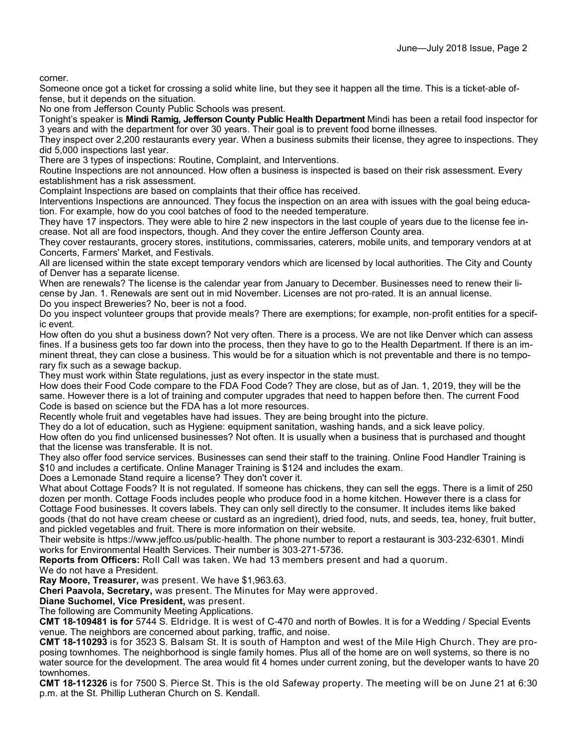corner.

Someone once got a ticket for crossing a solid white line, but they see it happen all the time. This is a ticket-able offense, but it depends on the situation.

No one from Jefferson County Public Schools was present.

Tonight's speaker is **Mindi Ramig, Jefferson County Public Health Department** Mindi has been a retail food inspector for 3 years and with the department for over 30 years. Their goal is to prevent food borne illnesses.

They inspect over 2,200 restaurants every year. When a business submits their license, they agree to inspections. They did 5,000 inspections last year.

There are 3 types of inspections: Routine, Complaint, and Interventions.

Routine Inspections are not announced. How often a business is inspected is based on their risk assessment. Every establishment has a risk assessment.

Complaint Inspections are based on complaints that their office has received.

Interventions Inspections are announced. They focus the inspection on an area with issues with the goal being education. For example, how do you cool batches of food to the needed temperature.

They have 17 inspectors. They were able to hire 2 new inspectors in the last couple of years due to the license fee increase. Not all are food inspectors, though. And they cover the entire Jefferson County area.

They cover restaurants, grocery stores, institutions, commissaries, caterers, mobile units, and temporary vendors at at Concerts, Farmers' Market, and Festivals.

All are licensed within the state except temporary vendors which are licensed by local authorities. The City and County of Denver has a separate license.

When are renewals? The license is the calendar year from January to December. Businesses need to renew their license by Jan. 1. Renewals are sent out in mid November. Licenses are not pro-rated. It is an annual license.

Do you inspect Breweries? No, beer is not a food.

Do you inspect volunteer groups that provide meals? There are exemptions; for example, non-profit entities for a specific event.

How often do you shut a business down? Not very often. There is a process. We are not like Denver which can assess fines. If a business gets too far down into the process, then they have to go to the Health Department. If there is an imminent threat, they can close a business. This would be for a situation which is not preventable and there is no temporary fix such as a sewage backup.

They must work within State regulations, just as every inspector in the state must.

How does their Food Code compare to the FDA Food Code? They are close, but as of Jan. 1, 2019, they will be the same. However there is a lot of training and computer upgrades that need to happen before then. The current Food Code is based on science but the FDA has a lot more resources.

Recently whole fruit and vegetables have had issues. They are being brought into the picture.

They do a lot of education, such as Hygiene: equipment sanitation, washing hands, and a sick leave policy.

How often do you find unlicensed businesses? Not often. It is usually when a business that is purchased and thought that the license was transferable. It is not.

They also offer food service services. Businesses can send their staff to the training. Online Food Handler Training is \$10 and includes a certificate. Online Manager Training is \$124 and includes the exam.

Does a Lemonade Stand require a license? They don't cover it.

What about Cottage Foods? It is not regulated. If someone has chickens, they can sell the eggs. There is a limit of 250 dozen per month. Cottage Foods includes people who produce food in a home kitchen. However there is a class for Cottage Food businesses. It covers labels. They can only sell directly to the consumer. It includes items like baked goods (that do not have cream cheese or custard as an ingredient), dried food, nuts, and seeds, tea, honey, fruit butter, and pickled vegetables and fruit. There is more information on their website.

Their website is https://www.jeffco.us/public-health. The phone number to report a restaurant is 303-232-6301. Mindi works for Environmental Health Services. Their number is 303-271-5736.

**Reports from Officers:** Roll Call was taken. We had 13 members present and had a quorum.

We do not have a President.

**Ray Moore, Treasurer,** was present. We have \$1,963.63.

**Cheri Paavola, Secretary,** was present. The Minutes for May were approved.

**Diane Suchomel, Vice President,** was present.

The following are Community Meeting Applications.

**CMT 18-109481 is for** 5744 S. Eldridge. It is west of C-470 and north of Bowles. It is for a Wedding / Special Events venue. The neighbors are concerned about parking, traffic, and noise.

**CMT 18-110293** is for 3523 S. Balsam St. It is south of Hampton and west of the Mile High Church. They are proposing townhomes. The neighborhood is single family homes. Plus all of the home are on well systems, so there is no water source for the development. The area would fit 4 homes under current zoning, but the developer wants to have 20 townhomes.

**CMT 18-112326** is for 7500 S. Pierce St. This is the old Safeway property. The meeting will be on June 21 at 6:30 p.m. at the St. Phillip Lutheran Church on S. Kendall.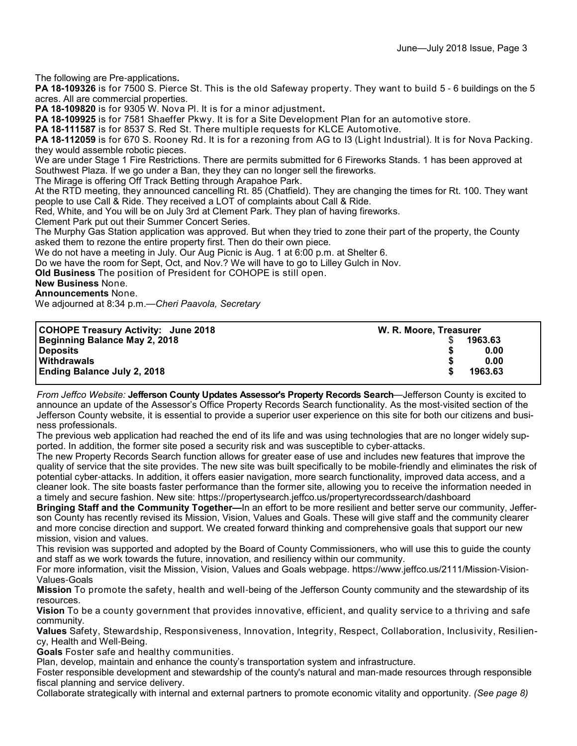The following are Pre-applications**.**

**PA 18-109326** is for 7500 S. Pierce St. This is the old Safeway property. They want to build 5 - 6 buildings on the 5 acres. All are commercial properties.

**PA 18-109820** is for 9305 W. Nova Pl. It is for a minor adjustment**.**

**PA 18-109925** is for 7581 Shaeffer Pkwy. It is for a Site Development Plan for an automotive store.

**PA 18-111587** is for 8537 S. Red St. There multiple requests for KLCE Automotive.

**PA 18-112059** is for 670 S. Rooney Rd. It is for a rezoning from AG to I3 (Light Industrial). It is for Nova Packing. they would assemble robotic pieces.

We are under Stage 1 Fire Restrictions. There are permits submitted for 6 Fireworks Stands. 1 has been approved at Southwest Plaza. If we go under a Ban, they they can no longer sell the fireworks.

The Mirage is offering Off Track Betting through Arapahoe Park.

At the RTD meeting, they announced cancelling Rt. 85 (Chatfield). They are changing the times for Rt. 100. They want people to use Call & Ride. They received a LOT of complaints about Call & Ride.

Red, White, and You will be on July 3rd at Clement Park. They plan of having fireworks.

Clement Park put out their Summer Concert Series.

The Murphy Gas Station application was approved. But when they tried to zone their part of the property, the County asked them to rezone the entire property first. Then do their own piece.

We do not have a meeting in July. Our Aug Picnic is Aug. 1 at 6:00 p.m. at Shelter 6.

Do we have the room for Sept, Oct, and Nov.? We will have to go to Lilley Gulch in Nov.

**Old Business** The position of President for COHOPE is still open.

**New Business** None.

**Announcements** None.

We adjourned at 8:34 p.m.—*Cheri Paavola, Secretary*

| COHOPE Treasury Activity: June 2018 | W. R. Moore, Treasurer |         |
|-------------------------------------|------------------------|---------|
| Beginning Balance May 2, 2018       |                        | 1963.63 |
| <b>Deposits</b>                     |                        | 0.00    |
| <b>Withdrawals</b>                  |                        | 0.00    |
| <b>Ending Balance July 2, 2018</b>  |                        | 1963.63 |

*From Jeffco Website:* **Jefferson County Updates Assessor's Property Records Search**—Jefferson County is excited to announce an update of the Assessor's Office Property Records Search functionality. As the most-visited section of the Jefferson County website, it is essential to provide a superior user experience on this site for both our citizens and business professionals.

The previous web application had reached the end of its life and was using technologies that are no longer widely supported. In addition, the former site posed a security risk and was susceptible to cyber-attacks.

The new Property Records Search function allows for greater ease of use and includes new features that improve the quality of service that the site provides. The new site was built specifically to be mobile-friendly and eliminates the risk of potential cyber-attacks. In addition, it offers easier navigation, more search functionality, improved data access, and a cleaner look. The site boasts faster performance than the former site, allowing you to receive the information needed in a timely and secure fashion. New site: https://propertysearch.jeffco.us/propertyrecordssearch/dashboard

**Bringing Staff and the Community Together—**In an effort to be more resilient and better serve our community, Jefferson County has recently revised its Mission, Vision, Values and Goals. These will give staff and the community clearer and more concise direction and support. We created forward thinking and comprehensive goals that support our new mission, vision and values.

This revision was supported and adopted by the Board of County Commissioners, who will use this to guide the county and staff as we work towards the future, innovation, and resiliency within our community.

For more information, visit the Mission, Vision, Values and Goals webpage. https://www.jeffco.us/2111/Mission-Vision-Values-Goals

**Mission** To promote the safety, health and well-being of the Jefferson County community and the stewardship of its resources.

**Vision** To be a county government that provides innovative, efficient, and quality service to a thriving and safe community.

**Values** Safety, Stewardship, Responsiveness, Innovation, Integrity, Respect, Collaboration, Inclusivity, Resiliency, Health and Well-Being.

**Goals** Foster safe and healthy communities.

Plan, develop, maintain and enhance the county's transportation system and infrastructure.

Foster responsible development and stewardship of the county's natural and man-made resources through responsible fiscal planning and service delivery.

Collaborate strategically with internal and external partners to promote economic vitality and opportunity. *(See page 8)*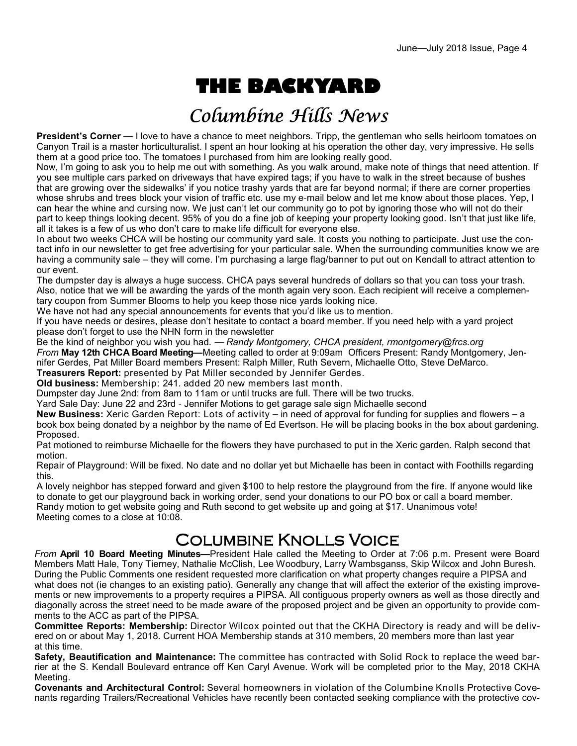# **THE BACKYARD**

## Columbine Hills News

**President's Corner** — I love to have a chance to meet neighbors. Tripp, the gentleman who sells heirloom tomatoes on Canyon Trail is a master horticulturalist. I spent an hour looking at his operation the other day, very impressive. He sells them at a good price too. The tomatoes I purchased from him are looking really good.

Now, I'm going to ask you to help me out with something. As you walk around, make note of things that need attention. If you see multiple cars parked on driveways that have expired tags; if you have to walk in the street because of bushes that are growing over the sidewalks' if you notice trashy yards that are far beyond normal; if there are corner properties whose shrubs and trees block your vision of traffic etc. use my e-mail below and let me know about those places. Yep, I can hear the whine and cursing now. We just can't let our community go to pot by ignoring those who will not do their part to keep things looking decent. 95% of you do a fine job of keeping your property looking good. Isn't that just like life, all it takes is a few of us who don't care to make life difficult for everyone else.

In about two weeks CHCA will be hosting our community yard sale. It costs you nothing to participate. Just use the contact info in our newsletter to get free advertising for your particular sale. When the surrounding communities know we are having a community sale – they will come. I'm purchasing a large flag/banner to put out on Kendall to attract attention to our event.

The dumpster day is always a huge success. CHCA pays several hundreds of dollars so that you can toss your trash. Also, notice that we will be awarding the yards of the month again very soon. Each recipient will receive a complementary coupon from Summer Blooms to help you keep those nice yards looking nice.

We have not had any special announcements for events that you'd like us to mention.

If you have needs or desires, please don't hesitate to contact a board member. If you need help with a yard project please don't forget to use the NHN form in the newsletter

Be the kind of neighbor you wish you had. — *Randy Montgomery, CHCA president, rmontgomery@frcs.org From* **May 12th CHCA Board Meeting—**Meeting called to order at 9:09am Officers Present: Randy Montgomery, Jennifer Gerdes, Pat Miller Board members Present: Ralph Miller, Ruth Severn, Michaelle Otto, Steve DeMarco. **Treasurers Report:** presented by Pat Miller seconded by Jennifer Gerdes.

**Old business:** Membership: 241. added 20 new members last month.

Dumpster day June 2nd: from 8am to 11am or until trucks are full. There will be two trucks.

Yard Sale Day: June 22 and 23rd - Jennifer Motions to get garage sale sign Michaelle second

**New Business:** Xeric Garden Report: Lots of activity – in need of approval for funding for supplies and flowers – a book box being donated by a neighbor by the name of Ed Evertson. He will be placing books in the box about gardening. Proposed.

Pat motioned to reimburse Michaelle for the flowers they have purchased to put in the Xeric garden. Ralph second that motion.

Repair of Playground: Will be fixed. No date and no dollar yet but Michaelle has been in contact with Foothills regarding this.

A lovely neighbor has stepped forward and given \$100 to help restore the playground from the fire. If anyone would like to donate to get our playground back in working order, send your donations to our PO box or call a board member. Randy motion to get website going and Ruth second to get website up and going at \$17. Unanimous vote! Meeting comes to a close at 10:08.

### Columbine Knolls Voice

*From* **April 10 Board Meeting Minutes—**President Hale called the Meeting to Order at 7:06 p.m. Present were Board Members Matt Hale, Tony Tierney, Nathalie McClish, Lee Woodbury, Larry Wambsganss, Skip Wilcox and John Buresh. During the Public Comments one resident requested more clarification on what property changes require a PIPSA and what does not (ie changes to an existing patio). Generally any change that will affect the exterior of the existing improvements or new improvements to a property requires a PIPSA. All contiguous property owners as well as those directly and diagonally across the street need to be made aware of the proposed project and be given an opportunity to provide comments to the ACC as part of the PIPSA.

**Committee Reports: Membership:** Director Wilcox pointed out that the CKHA Directory is ready and will be delivered on or about May 1, 2018. Current HOA Membership stands at 310 members, 20 members more than last year at this time.

**Safety, Beautification and Maintenance:** The committee has contracted with Solid Rock to replace the weed barrier at the S. Kendall Boulevard entrance off Ken Caryl Avenue. Work will be completed prior to the May, 2018 CKHA Meeting.

**Covenants and Architectural Control:** Several homeowners in violation of the Columbine Knolls Protective Covenants regarding Trailers/Recreational Vehicles have recently been contacted seeking compliance with the protective cov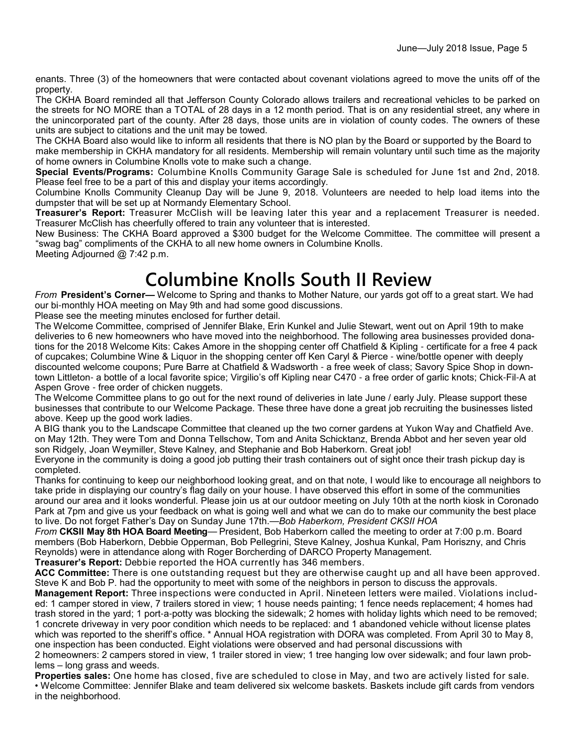enants. Three (3) of the homeowners that were contacted about covenant violations agreed to move the units off of the property.

The CKHA Board reminded all that Jefferson County Colorado allows trailers and recreational vehicles to be parked on the streets for NO MORE than a TOTAL of 28 days in a 12 month period. That is on any residential street, any where in the unincorporated part of the county. After 28 days, those units are in violation of county codes. The owners of these units are subject to citations and the unit may be towed.

The CKHA Board also would like to inform all residents that there is NO plan by the Board or supported by the Board to make membership in CKHA mandatory for all residents. Membership will remain voluntary until such time as the majority of home owners in Columbine Knolls vote to make such a change.

**Special Events/Programs:** Columbine Knolls Community Garage Sale is scheduled for June 1st and 2nd, 2018. Please feel free to be a part of this and display your items accordingly.

Columbine Knolls Community Cleanup Day will be June 9, 2018. Volunteers are needed to help load items into the dumpster that will be set up at Normandy Elementary School.

**Treasurer's Report:** Treasurer McClish will be leaving later this year and a replacement Treasurer is needed. Treasurer McClish has cheerfully offered to train any volunteer that is interested.

New Business: The CKHA Board approved a \$300 budget for the Welcome Committee. The committee will present a "swag bag" compliments of the CKHA to all new home owners in Columbine Knolls.

Meeting Adjourned @ 7:42 p.m.

## **Columbine Knolls South II Review**

*From* **President's Corner—** Welcome to Spring and thanks to Mother Nature, our yards got off to a great start. We had our bi-monthly HOA meeting on May 9th and had some good discussions.

Please see the meeting minutes enclosed for further detail.

The Welcome Committee, comprised of Jennifer Blake, Erin Kunkel and Julie Stewart, went out on April 19th to make deliveries to 6 new homeowners who have moved into the neighborhood. The following area businesses provided donations for the 2018 Welcome Kits: Cakes Amore in the shopping center off Chatfield & Kipling - certificate for a free 4 pack of cupcakes; Columbine Wine & Liquor in the shopping center off Ken Caryl & Pierce - wine/bottle opener with deeply discounted welcome coupons; Pure Barre at Chatfield & Wadsworth - a free week of class; Savory Spice Shop in downtown Littleton- a bottle of a local favorite spice; Virgilio's off Kipling near C470 - a free order of garlic knots; Chick-Fil-A at Aspen Grove - free order of chicken nuggets.

The Welcome Committee plans to go out for the next round of deliveries in late June / early July. Please support these businesses that contribute to our Welcome Package. These three have done a great job recruiting the businesses listed above. Keep up the good work ladies.

A BIG thank you to the Landscape Committee that cleaned up the two corner gardens at Yukon Way and Chatfield Ave. on May 12th. They were Tom and Donna Tellschow, Tom and Anita Schicktanz, Brenda Abbot and her seven year old son Ridgely, Joan Weymiller, Steve Kalney, and Stephanie and Bob Haberkorn. Great job!

Everyone in the community is doing a good job putting their trash containers out of sight once their trash pickup day is completed.

Thanks for continuing to keep our neighborhood looking great, and on that note, I would like to encourage all neighbors to take pride in displaying our country's flag daily on your house. I have observed this effort in some of the communities around our area and it looks wonderful. Please join us at our outdoor meeting on July 10th at the north kiosk in Coronado Park at 7pm and give us your feedback on what is going well and what we can do to make our community the best place to live. Do not forget Father's Day on Sunday June 17th.—*Bob Haberkorn, President CKSII HOA*

*From* **CKSII May 8th HOA Board Meeting**— President, Bob Haberkorn called the meeting to order at 7:00 p.m. Board members (Bob Haberkorn, Debbie Opperman, Bob Pellegrini, Steve Kalney, Joshua Kunkal, Pam Horiszny, and Chris Reynolds) were in attendance along with Roger Borcherding of DARCO Property Management.

**Treasurer's Report:** Debbie reported the HOA currently has 346 members.

**ACC Committee:** There is one outstanding request but they are otherwise caught up and all have been approved. Steve K and Bob P. had the opportunity to meet with some of the neighbors in person to discuss the approvals.

**Management Report:** Three inspections were conducted in April. Nineteen letters were mailed. Violations included: 1 camper stored in view, 7 trailers stored in view; 1 house needs painting; 1 fence needs replacement; 4 homes had trash stored in the yard; 1 port-a-potty was blocking the sidewalk; 2 homes with holiday lights which need to be removed; 1 concrete driveway in very poor condition which needs to be replaced: and 1 abandoned vehicle without license plates which was reported to the sheriff's office. \* Annual HOA registration with DORA was completed. From April 30 to May 8, one inspection has been conducted. Eight violations were observed and had personal discussions with

2 homeowners: 2 campers stored in view, 1 trailer stored in view; 1 tree hanging low over sidewalk; and four lawn problems – long grass and weeds.

**Properties sales:** One home has closed, five are scheduled to close in May, and two are actively listed for sale. • Welcome Committee: Jennifer Blake and team delivered six welcome baskets. Baskets include gift cards from vendors in the neighborhood.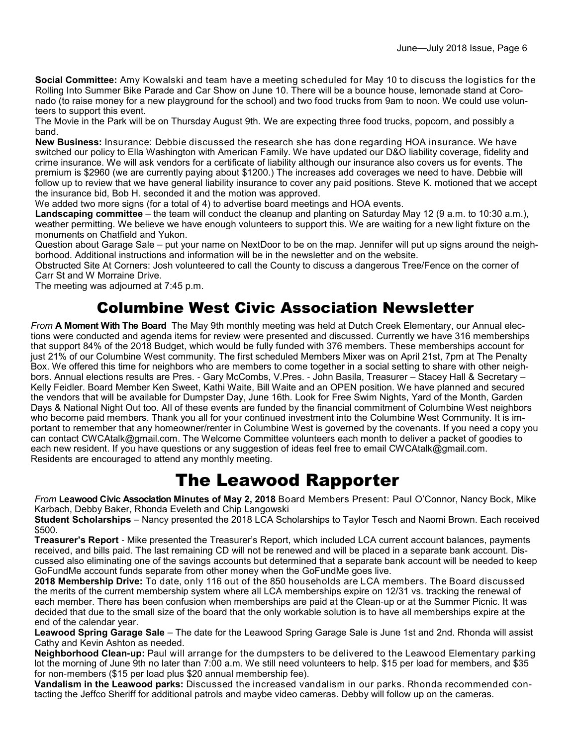**Social Committee:** Amy Kowalski and team have a meeting scheduled for May 10 to discuss the logistics for the Rolling Into Summer Bike Parade and Car Show on June 10. There will be a bounce house, lemonade stand at Coronado (to raise money for a new playground for the school) and two food trucks from 9am to noon. We could use volunteers to support this event.

The Movie in the Park will be on Thursday August 9th. We are expecting three food trucks, popcorn, and possibly a band.

**New Business:** Insurance: Debbie discussed the research she has done regarding HOA insurance. We have switched our policy to Ella Washington with American Family. We have updated our D&O liability coverage, fidelity and crime insurance. We will ask vendors for a certificate of liability although our insurance also covers us for events. The premium is \$2960 (we are currently paying about \$1200.) The increases add coverages we need to have. Debbie will follow up to review that we have general liability insurance to cover any paid positions. Steve K. motioned that we accept the insurance bid, Bob H. seconded it and the motion was approved.

We added two more signs (for a total of 4) to advertise board meetings and HOA events.

**Landscaping committee** – the team will conduct the cleanup and planting on Saturday May 12 (9 a.m. to 10:30 a.m.), weather permitting. We believe we have enough volunteers to support this. We are waiting for a new light fixture on the monuments on Chatfield and Yukon.

Question about Garage Sale – put your name on NextDoor to be on the map. Jennifer will put up signs around the neighborhood. Additional instructions and information will be in the newsletter and on the website.

Obstructed Site At Corners: Josh volunteered to call the County to discuss a dangerous Tree/Fence on the corner of Carr St and W Morraine Drive.

The meeting was adjourned at 7:45 p.m.

### Columbine West Civic Association Newsletter

*From* **A Moment With The Board** The May 9th monthly meeting was held at Dutch Creek Elementary, our Annual elections were conducted and agenda items for review were presented and discussed. Currently we have 316 memberships that support 84% of the 2018 Budget, which would be fully funded with 376 members. These memberships account for just 21% of our Columbine West community. The first scheduled Members Mixer was on April 21st, 7pm at The Penalty Box. We offered this time for neighbors who are members to come together in a social setting to share with other neighbors. Annual elections results are Pres. - Gary McCombs, V.Pres. - John Basila, Treasurer – Stacey Hall & Secretary – Kelly Feidler. Board Member Ken Sweet, Kathi Waite, Bill Waite and an OPEN position. We have planned and secured the vendors that will be available for Dumpster Day, June 16th. Look for Free Swim Nights, Yard of the Month, Garden Days & National Night Out too. All of these events are funded by the financial commitment of Columbine West neighbors who become paid members. Thank you all for your continued investment into the Columbine West Community. It is important to remember that any homeowner/renter in Columbine West is governed by the covenants. If you need a copy you can contact CWCAtalk@gmail.com. The Welcome Committee volunteers each month to deliver a packet of goodies to each new resident. If you have questions or any suggestion of ideas feel free to email CWCAtalk@gmail.com. Residents are encouraged to attend any monthly meeting.

### The Leawood Rapporter

*From* **Leawood Civic Association Minutes of May 2, 2018** Board Members Present: Paul O'Connor, Nancy Bock, Mike Karbach, Debby Baker, Rhonda Eveleth and Chip Langowski

**Student Scholarships** – Nancy presented the 2018 LCA Scholarships to Taylor Tesch and Naomi Brown. Each received \$500.

**Treasurer's Report** - Mike presented the Treasurer's Report, which included LCA current account balances, payments received, and bills paid. The last remaining CD will not be renewed and will be placed in a separate bank account. Discussed also eliminating one of the savings accounts but determined that a separate bank account will be needed to keep GoFundMe account funds separate from other money when the GoFundMe goes live.

**2018 Membership Drive:** To date, only 116 out of the 850 households are LCA members. The Board discussed the merits of the current membership system where all LCA memberships expire on 12/31 vs. tracking the renewal of each member. There has been confusion when memberships are paid at the Clean-up or at the Summer Picnic. It was decided that due to the small size of the board that the only workable solution is to have all memberships expire at the end of the calendar year.

**Leawood Spring Garage Sale** – The date for the Leawood Spring Garage Sale is June 1st and 2nd. Rhonda will assist Cathy and Kevin Ashton as needed.

**Neighborhood Clean-up:** Paul will arrange for the dumpsters to be delivered to the Leawood Elementary parking lot the morning of June 9th no later than 7:00 a.m. We still need volunteers to help. \$15 per load for members, and \$35 for non-members (\$15 per load plus \$20 annual membership fee).

**Vandalism in the Leawood parks:** Discussed the increased vandalism in our parks. Rhonda recommended contacting the Jeffco Sheriff for additional patrols and maybe video cameras. Debby will follow up on the cameras.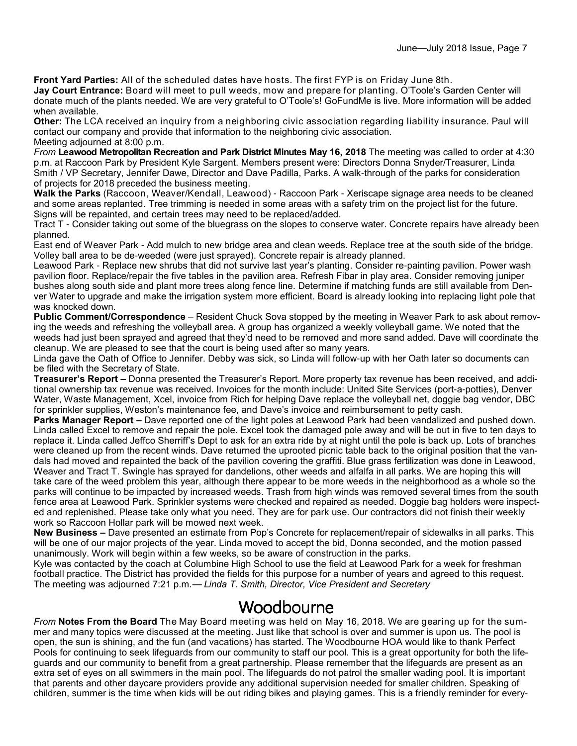**Front Yard Parties:** All of the scheduled dates have hosts. The first FYP is on Friday June 8th.

**Jay Court Entrance:** Board will meet to pull weeds, mow and prepare for planting. O'Toole's Garden Center will donate much of the plants needed. We are very grateful to O'Toole's! GoFundMe is live. More information will be added when available.

**Other:** The LCA received an inquiry from a neighboring civic association regarding liability insurance. Paul will contact our company and provide that information to the neighboring civic association. Meeting adjourned at 8:00 p.m.

*From* **Leawood Metropolitan Recreation and Park District Minutes May 16, 2018** The meeting was called to order at 4:30 p.m. at Raccoon Park by President Kyle Sargent. Members present were: Directors Donna Snyder/Treasurer, Linda Smith / VP Secretary, Jennifer Dawe, Director and Dave Padilla, Parks. A walk-through of the parks for consideration of projects for 2018 preceded the business meeting.

**Walk the Parks** (Raccoon, Weaver/Kendall, Leawood) - Raccoon Park - Xeriscape signage area needs to be cleaned and some areas replanted. Tree trimming is needed in some areas with a safety trim on the project list for the future. Signs will be repainted, and certain trees may need to be replaced/added.

Tract T - Consider taking out some of the bluegrass on the slopes to conserve water. Concrete repairs have already been planned.

East end of Weaver Park - Add mulch to new bridge area and clean weeds. Replace tree at the south side of the bridge. Volley ball area to be de-weeded (were just sprayed). Concrete repair is already planned.

Leawood Park - Replace new shrubs that did not survive last year's planting. Consider re-painting pavilion. Power wash pavilion floor. Replace/repair the five tables in the pavilion area. Refresh Fibar in play area. Consider removing juniper bushes along south side and plant more trees along fence line. Determine if matching funds are still available from Denver Water to upgrade and make the irrigation system more efficient. Board is already looking into replacing light pole that was knocked down.

**Public Comment/Correspondence** – Resident Chuck Sova stopped by the meeting in Weaver Park to ask about removing the weeds and refreshing the volleyball area. A group has organized a weekly volleyball game. We noted that the weeds had just been sprayed and agreed that they'd need to be removed and more sand added. Dave will coordinate the cleanup. We are pleased to see that the court is being used after so many years.

Linda gave the Oath of Office to Jennifer. Debby was sick, so Linda will follow-up with her Oath later so documents can be filed with the Secretary of State.

**Treasurer's Report –** Donna presented the Treasurer's Report. More property tax revenue has been received, and additional ownership tax revenue was received. Invoices for the month include: United Site Services (port-a-potties), Denver Water, Waste Management, Xcel, invoice from Rich for helping Dave replace the volleyball net, doggie bag vendor, DBC for sprinkler supplies, Weston's maintenance fee, and Dave's invoice and reimbursement to petty cash.

**Parks Manager Report –** Dave reported one of the light poles at Leawood Park had been vandalized and pushed down. Linda called Excel to remove and repair the pole. Excel took the damaged pole away and will be out in five to ten days to replace it. Linda called Jeffco Sherriff's Dept to ask for an extra ride by at night until the pole is back up. Lots of branches were cleaned up from the recent winds. Dave returned the uprooted picnic table back to the original position that the vandals had moved and repainted the back of the pavilion covering the graffiti. Blue grass fertilization was done in Leawood, Weaver and Tract T. Swingle has sprayed for dandelions, other weeds and alfalfa in all parks. We are hoping this will take care of the weed problem this year, although there appear to be more weeds in the neighborhood as a whole so the parks will continue to be impacted by increased weeds. Trash from high winds was removed several times from the south fence area at Leawood Park. Sprinkler systems were checked and repaired as needed. Doggie bag holders were inspected and replenished. Please take only what you need. They are for park use. Our contractors did not finish their weekly work so Raccoon Hollar park will be mowed next week.

**New Business –** Dave presented an estimate from Pop's Concrete for replacement/repair of sidewalks in all parks. This will be one of our major projects of the year. Linda moved to accept the bid, Donna seconded, and the motion passed unanimously. Work will begin within a few weeks, so be aware of construction in the parks.

Kyle was contacted by the coach at Columbine High School to use the field at Leawood Park for a week for freshman football practice. The District has provided the fields for this purpose for a number of years and agreed to this request. The meeting was adjourned 7:21 p.m.— *Linda T. Smith, Director, Vice President and Secretary*

#### Woodbourne

*From* **Notes From the Board** The May Board meeting was held on May 16, 2018. We are gearing up for the summer and many topics were discussed at the meeting. Just like that school is over and summer is upon us. The pool is open, the sun is shining, and the fun (and vacations) has started. The Woodbourne HOA would like to thank Perfect Pools for continuing to seek lifeguards from our community to staff our pool. This is a great opportunity for both the lifeguards and our community to benefit from a great partnership. Please remember that the lifeguards are present as an extra set of eyes on all swimmers in the main pool. The lifeguards do not patrol the smaller wading pool. It is important that parents and other daycare providers provide any additional supervision needed for smaller children. Speaking of children, summer is the time when kids will be out riding bikes and playing games. This is a friendly reminder for every-